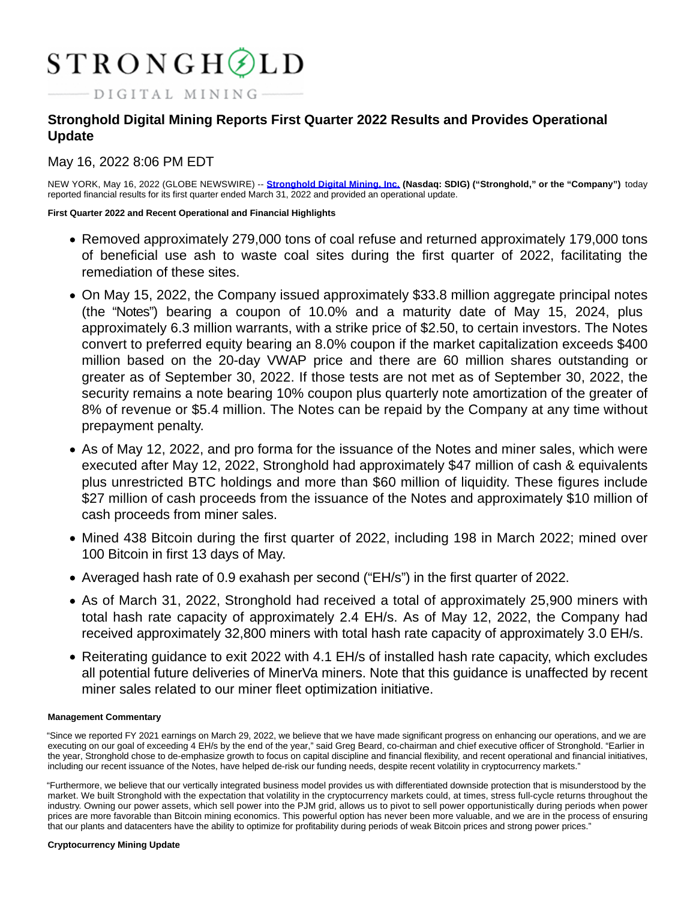# $STRONGH\textcircled{1}LD$

 $-DIGITAL MINING-$ 

# **Stronghold Digital Mining Reports First Quarter 2022 Results and Provides Operational Update**

# May 16, 2022 8:06 PM EDT

NEW YORK, May 16, 2022 (GLOBE NEWSWIRE) -- **[Stronghold Digital Mining, Inc. \(](https://www.globenewswire.com/Tracker?data=eiwCzOi7nPBK9kk1zLQYZoO4xwbMA4Ac0DrSllm6eVERCc7DMCPRSB_yUXwUv_YTQbo3ADckoKYRVNrE1c19kj-8LZKc4P2kHaoO_G-Edd0oDySWQQuzAuje5XVrxI5i)Nasdaq: SDIG) ("Stronghold," or the "Company")** today reported financial results for its first quarter ended March 31, 2022 and provided an operational update.

**First Quarter 2022 and Recent Operational and Financial Highlights**

- Removed approximately 279,000 tons of coal refuse and returned approximately 179,000 tons of beneficial use ash to waste coal sites during the first quarter of 2022, facilitating the remediation of these sites.
- On May 15, 2022, the Company issued approximately \$33.8 million aggregate principal notes (the "Notes") bearing a coupon of 10.0% and a maturity date of May 15, 2024, plus approximately 6.3 million warrants, with a strike price of \$2.50, to certain investors. The Notes convert to preferred equity bearing an 8.0% coupon if the market capitalization exceeds \$400 million based on the 20-day VWAP price and there are 60 million shares outstanding or greater as of September 30, 2022. If those tests are not met as of September 30, 2022, the security remains a note bearing 10% coupon plus quarterly note amortization of the greater of 8% of revenue or \$5.4 million. The Notes can be repaid by the Company at any time without prepayment penalty.
- As of May 12, 2022, and pro forma for the issuance of the Notes and miner sales, which were executed after May 12, 2022, Stronghold had approximately \$47 million of cash & equivalents plus unrestricted BTC holdings and more than \$60 million of liquidity. These figures include \$27 million of cash proceeds from the issuance of the Notes and approximately \$10 million of cash proceeds from miner sales.
- Mined 438 Bitcoin during the first quarter of 2022, including 198 in March 2022; mined over 100 Bitcoin in first 13 days of May.
- Averaged hash rate of 0.9 exahash per second ("EH/s") in the first quarter of 2022.
- As of March 31, 2022, Stronghold had received a total of approximately 25,900 miners with total hash rate capacity of approximately 2.4 EH/s. As of May 12, 2022, the Company had received approximately 32,800 miners with total hash rate capacity of approximately 3.0 EH/s.
- Reiterating guidance to exit 2022 with 4.1 EH/s of installed hash rate capacity, which excludes all potential future deliveries of MinerVa miners. Note that this guidance is unaffected by recent miner sales related to our miner fleet optimization initiative.

# **Management Commentary**

"Since we reported FY 2021 earnings on March 29, 2022, we believe that we have made significant progress on enhancing our operations, and we are executing on our goal of exceeding 4 EH/s by the end of the year," said Greg Beard, co-chairman and chief executive officer of Stronghold. "Earlier in the year, Stronghold chose to de-emphasize growth to focus on capital discipline and financial flexibility, and recent operational and financial initiatives, including our recent issuance of the Notes, have helped de-risk our funding needs, despite recent volatility in cryptocurrency markets."

"Furthermore, we believe that our vertically integrated business model provides us with differentiated downside protection that is misunderstood by the market. We built Stronghold with the expectation that volatility in the cryptocurrency markets could, at times, stress full-cycle returns throughout the industry. Owning our power assets, which sell power into the PJM grid, allows us to pivot to sell power opportunistically during periods when power prices are more favorable than Bitcoin mining economics. This powerful option has never been more valuable, and we are in the process of ensuring that our plants and datacenters have the ability to optimize for profitability during periods of weak Bitcoin prices and strong power prices."

## **Cryptocurrency Mining Update**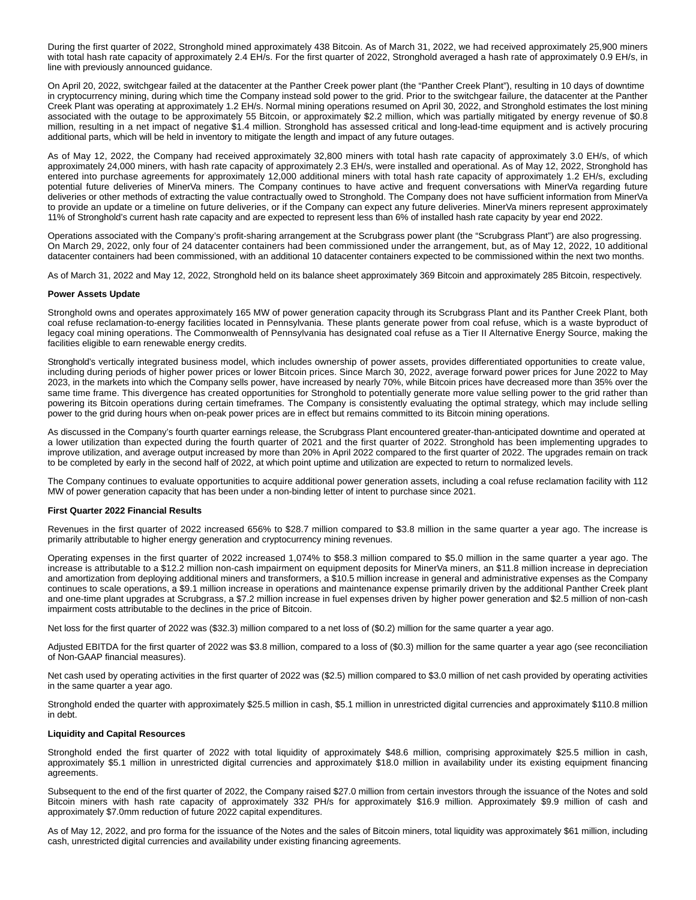During the first quarter of 2022, Stronghold mined approximately 438 Bitcoin. As of March 31, 2022, we had received approximately 25,900 miners with total hash rate capacity of approximately 2.4 EH/s. For the first quarter of 2022, Stronghold averaged a hash rate of approximately 0.9 EH/s, in line with previously announced guidance.

On April 20, 2022, switchgear failed at the datacenter at the Panther Creek power plant (the "Panther Creek Plant"), resulting in 10 days of downtime in cryptocurrency mining, during which time the Company instead sold power to the grid. Prior to the switchgear failure, the datacenter at the Panther Creek Plant was operating at approximately 1.2 EH/s. Normal mining operations resumed on April 30, 2022, and Stronghold estimates the lost mining associated with the outage to be approximately 55 Bitcoin, or approximately \$2.2 million, which was partially mitigated by energy revenue of \$0.8 million, resulting in a net impact of negative \$1.4 million. Stronghold has assessed critical and long-lead-time equipment and is actively procuring additional parts, which will be held in inventory to mitigate the length and impact of any future outages.

As of May 12, 2022, the Company had received approximately 32,800 miners with total hash rate capacity of approximately 3.0 EH/s, of which approximately 24,000 miners, with hash rate capacity of approximately 2.3 EH/s, were installed and operational. As of May 12, 2022, Stronghold has entered into purchase agreements for approximately 12,000 additional miners with total hash rate capacity of approximately 1.2 EH/s, excluding potential future deliveries of MinerVa miners. The Company continues to have active and frequent conversations with MinerVa regarding future deliveries or other methods of extracting the value contractually owed to Stronghold. The Company does not have sufficient information from MinerVa to provide an update or a timeline on future deliveries, or if the Company can expect any future deliveries. MinerVa miners represent approximately 11% of Stronghold's current hash rate capacity and are expected to represent less than 6% of installed hash rate capacity by year end 2022.

Operations associated with the Company's profit-sharing arrangement at the Scrubgrass power plant (the "Scrubgrass Plant") are also progressing. On March 29, 2022, only four of 24 datacenter containers had been commissioned under the arrangement, but, as of May 12, 2022, 10 additional datacenter containers had been commissioned, with an additional 10 datacenter containers expected to be commissioned within the next two months.

As of March 31, 2022 and May 12, 2022, Stronghold held on its balance sheet approximately 369 Bitcoin and approximately 285 Bitcoin, respectively.

#### **Power Assets Update**

Stronghold owns and operates approximately 165 MW of power generation capacity through its Scrubgrass Plant and its Panther Creek Plant, both coal refuse reclamation-to-energy facilities located in Pennsylvania. These plants generate power from coal refuse, which is a waste byproduct of legacy coal mining operations. The Commonwealth of Pennsylvania has designated coal refuse as a Tier II Alternative Energy Source, making the facilities eligible to earn renewable energy credits.

Stronghold's vertically integrated business model, which includes ownership of power assets, provides differentiated opportunities to create value, including during periods of higher power prices or lower Bitcoin prices. Since March 30, 2022, average forward power prices for June 2022 to May 2023, in the markets into which the Company sells power, have increased by nearly 70%, while Bitcoin prices have decreased more than 35% over the same time frame. This divergence has created opportunities for Stronghold to potentially generate more value selling power to the grid rather than powering its Bitcoin operations during certain timeframes. The Company is consistently evaluating the optimal strategy, which may include selling power to the grid during hours when on-peak power prices are in effect but remains committed to its Bitcoin mining operations.

As discussed in the Company's fourth quarter earnings release, the Scrubgrass Plant encountered greater-than-anticipated downtime and operated at a lower utilization than expected during the fourth quarter of 2021 and the first quarter of 2022. Stronghold has been implementing upgrades to improve utilization, and average output increased by more than 20% in April 2022 compared to the first quarter of 2022. The upgrades remain on track to be completed by early in the second half of 2022, at which point uptime and utilization are expected to return to normalized levels.

The Company continues to evaluate opportunities to acquire additional power generation assets, including a coal refuse reclamation facility with 112 MW of power generation capacity that has been under a non-binding letter of intent to purchase since 2021.

#### **First Quarter 2022 Financial Results**

Revenues in the first quarter of 2022 increased 656% to \$28.7 million compared to \$3.8 million in the same quarter a year ago. The increase is primarily attributable to higher energy generation and cryptocurrency mining revenues.

Operating expenses in the first quarter of 2022 increased 1,074% to \$58.3 million compared to \$5.0 million in the same quarter a year ago. The increase is attributable to a \$12.2 million non-cash impairment on equipment deposits for MinerVa miners, an \$11.8 million increase in depreciation and amortization from deploying additional miners and transformers, a \$10.5 million increase in general and administrative expenses as the Company continues to scale operations, a \$9.1 million increase in operations and maintenance expense primarily driven by the additional Panther Creek plant and one-time plant upgrades at Scrubgrass, a \$7.2 million increase in fuel expenses driven by higher power generation and \$2.5 million of non-cash impairment costs attributable to the declines in the price of Bitcoin.

Net loss for the first quarter of 2022 was (\$32.3) million compared to a net loss of (\$0.2) million for the same quarter a year ago.

Adjusted EBITDA for the first quarter of 2022 was \$3.8 million, compared to a loss of (\$0.3) million for the same quarter a year ago (see reconciliation of Non-GAAP financial measures).

Net cash used by operating activities in the first quarter of 2022 was (\$2.5) million compared to \$3.0 million of net cash provided by operating activities in the same quarter a year ago.

Stronghold ended the quarter with approximately \$25.5 million in cash, \$5.1 million in unrestricted digital currencies and approximately \$110.8 million in debt.

#### **Liquidity and Capital Resources**

Stronghold ended the first quarter of 2022 with total liquidity of approximately \$48.6 million, comprising approximately \$25.5 million in cash, approximately \$5.1 million in unrestricted digital currencies and approximately \$18.0 million in availability under its existing equipment financing agreements.

Subsequent to the end of the first quarter of 2022, the Company raised \$27.0 million from certain investors through the issuance of the Notes and sold Bitcoin miners with hash rate capacity of approximately 332 PH/s for approximately \$16.9 million. Approximately \$9.9 million of cash and approximately \$7.0mm reduction of future 2022 capital expenditures.

As of May 12, 2022, and pro forma for the issuance of the Notes and the sales of Bitcoin miners, total liquidity was approximately \$61 million, including cash, unrestricted digital currencies and availability under existing financing agreements.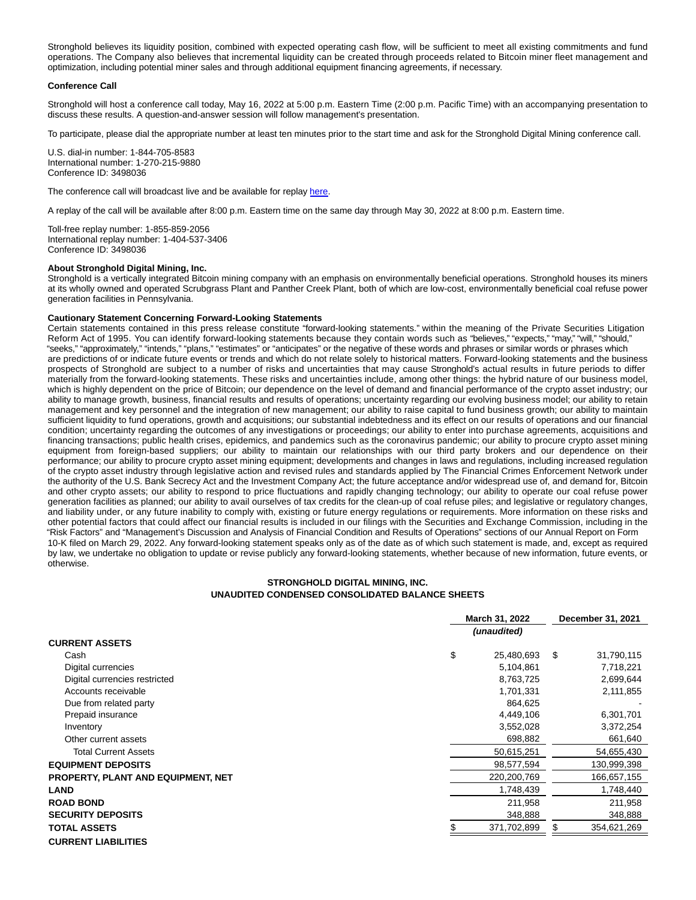Stronghold believes its liquidity position, combined with expected operating cash flow, will be sufficient to meet all existing commitments and fund operations. The Company also believes that incremental liquidity can be created through proceeds related to Bitcoin miner fleet management and optimization, including potential miner sales and through additional equipment financing agreements, if necessary.

#### **Conference Call**

Stronghold will host a conference call today, May 16, 2022 at 5:00 p.m. Eastern Time (2:00 p.m. Pacific Time) with an accompanying presentation to discuss these results. A question-and-answer session will follow management's presentation.

To participate, please dial the appropriate number at least ten minutes prior to the start time and ask for the Stronghold Digital Mining conference call.

U.S. dial-in number: 1-844-705-8583 International number: 1-270-215-9880 Conference ID: 3498036

The conference call will broadcast live and be available for replay [here.](https://www.globenewswire.com/Tracker?data=aGt9JgSpXvAVutIM1RLr9UelvjSH-GJkgeYpK7X1_OYN49im1FQzOd5dr4WetbCqzY98AkX906I4lN72Bs-fz4WOetul6TA1mozm6S_UuiQ=)

A replay of the call will be available after 8:00 p.m. Eastern time on the same day through May 30, 2022 at 8:00 p.m. Eastern time.

Toll-free replay number: 1-855-859-2056 International replay number: 1-404-537-3406 Conference ID: 3498036

#### **About Stronghold Digital Mining, Inc.**

Stronghold is a vertically integrated Bitcoin mining company with an emphasis on environmentally beneficial operations. Stronghold houses its miners at its wholly owned and operated Scrubgrass Plant and Panther Creek Plant, both of which are low-cost, environmentally beneficial coal refuse power generation facilities in Pennsylvania.

#### **Cautionary Statement Concerning Forward-Looking Statements**

Certain statements contained in this press release constitute "forward-looking statements." within the meaning of the Private Securities Litigation Reform Act of 1995. You can identify forward-looking statements because they contain words such as "believes," "expects," "may," "will," "should," "seeks," "approximately," "intends," "plans," "estimates" or "anticipates" or the negative of these words and phrases or similar words or phrases which are predictions of or indicate future events or trends and which do not relate solely to historical matters. Forward-looking statements and the business prospects of Stronghold are subject to a number of risks and uncertainties that may cause Stronghold's actual results in future periods to differ materially from the forward-looking statements. These risks and uncertainties include, among other things: the hybrid nature of our business model, which is highly dependent on the price of Bitcoin; our dependence on the level of demand and financial performance of the crypto asset industry; our ability to manage growth, business, financial results and results of operations; uncertainty regarding our evolving business model; our ability to retain management and key personnel and the integration of new management; our ability to raise capital to fund business growth; our ability to maintain sufficient liquidity to fund operations, growth and acquisitions; our substantial indebtedness and its effect on our results of operations and our financial condition; uncertainty regarding the outcomes of any investigations or proceedings; our ability to enter into purchase agreements, acquisitions and financing transactions; public health crises, epidemics, and pandemics such as the coronavirus pandemic; our ability to procure crypto asset mining equipment from foreign-based suppliers; our ability to maintain our relationships with our third party brokers and our dependence on their performance; our ability to procure crypto asset mining equipment; developments and changes in laws and regulations, including increased regulation of the crypto asset industry through legislative action and revised rules and standards applied by The Financial Crimes Enforcement Network under the authority of the U.S. Bank Secrecy Act and the Investment Company Act; the future acceptance and/or widespread use of, and demand for, Bitcoin and other crypto assets; our ability to respond to price fluctuations and rapidly changing technology; our ability to operate our coal refuse power generation facilities as planned; our ability to avail ourselves of tax credits for the clean-up of coal refuse piles; and legislative or regulatory changes, and liability under, or any future inability to comply with, existing or future energy regulations or requirements. More information on these risks and other potential factors that could affect our financial results is included in our filings with the Securities and Exchange Commission, including in the "Risk Factors" and "Management's Discussion and Analysis of Financial Condition and Results of Operations" sections of our Annual Report on Form 10-K filed on March 29, 2022. Any forward-looking statement speaks only as of the date as of which such statement is made, and, except as required by law, we undertake no obligation to update or revise publicly any forward-looking statements, whether because of new information, future events, or otherwise.

## **STRONGHOLD DIGITAL MINING, INC. UNAUDITED CONDENSED CONSOLIDATED BALANCE SHEETS**

|                                           | March 31, 2022   |     | December 31, 2021 |  |
|-------------------------------------------|------------------|-----|-------------------|--|
|                                           | (unaudited)      |     |                   |  |
| <b>CURRENT ASSETS</b>                     |                  |     |                   |  |
| Cash                                      | \$<br>25,480,693 | S   | 31,790,115        |  |
| Digital currencies                        | 5,104,861        |     | 7,718,221         |  |
| Digital currencies restricted             | 8,763,725        |     | 2,699,644         |  |
| Accounts receivable                       | 1,701,331        |     | 2,111,855         |  |
| Due from related party                    | 864,625          |     |                   |  |
| Prepaid insurance                         | 4,449,106        |     | 6,301,701         |  |
| Inventory                                 | 3,552,028        |     | 3,372,254         |  |
| Other current assets                      | 698,882          |     | 661,640           |  |
| <b>Total Current Assets</b>               | 50,615,251       |     | 54,655,430        |  |
| <b>EQUIPMENT DEPOSITS</b>                 | 98,577,594       |     | 130,999,398       |  |
| <b>PROPERTY, PLANT AND EQUIPMENT, NET</b> | 220,200,769      |     | 166,657,155       |  |
| <b>LAND</b>                               | 1,748,439        |     | 1,748,440         |  |
| <b>ROAD BOND</b>                          | 211,958          |     | 211,958           |  |
| <b>SECURITY DEPOSITS</b>                  | 348,888          |     | 348,888           |  |
| <b>TOTAL ASSETS</b>                       | 371,702,899      | \$. | 354,621,269       |  |
| <b>CURRENT LIABILITIES</b>                |                  |     |                   |  |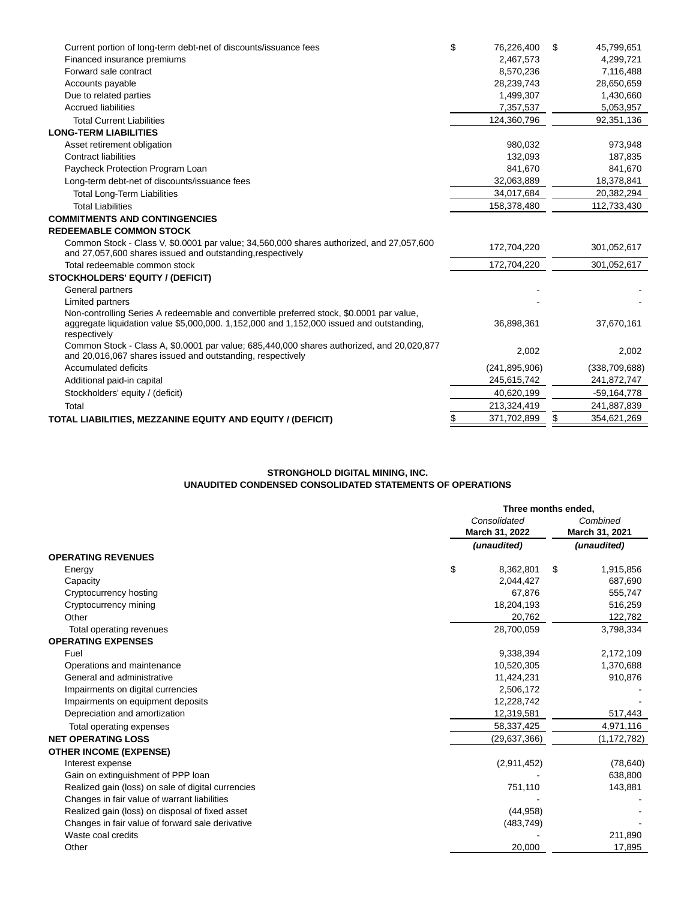| Current portion of long-term debt-net of discounts/issuance fees                                                                                                                                     | \$<br>76,226,400  | \$<br>45,799,651  |
|------------------------------------------------------------------------------------------------------------------------------------------------------------------------------------------------------|-------------------|-------------------|
| Financed insurance premiums                                                                                                                                                                          | 2,467,573         | 4,299,721         |
| Forward sale contract                                                                                                                                                                                | 8,570,236         | 7,116,488         |
| Accounts payable                                                                                                                                                                                     | 28,239,743        | 28,650,659        |
| Due to related parties                                                                                                                                                                               | 1,499,307         | 1,430,660         |
| <b>Accrued liabilities</b>                                                                                                                                                                           | 7,357,537         | 5,053,957         |
| <b>Total Current Liabilities</b>                                                                                                                                                                     | 124,360,796       | 92,351,136        |
| <b>LONG-TERM LIABILITIES</b>                                                                                                                                                                         |                   |                   |
| Asset retirement obligation                                                                                                                                                                          | 980,032           | 973,948           |
| <b>Contract liabilities</b>                                                                                                                                                                          | 132.093           | 187.835           |
| Paycheck Protection Program Loan                                                                                                                                                                     | 841,670           | 841,670           |
| Long-term debt-net of discounts/issuance fees                                                                                                                                                        | 32,063,889        | 18,378,841        |
| <b>Total Long-Term Liabilities</b>                                                                                                                                                                   | 34,017,684        | 20,382,294        |
| <b>Total Liabilities</b>                                                                                                                                                                             | 158,378,480       | 112,733,430       |
| <b>COMMITMENTS AND CONTINGENCIES</b>                                                                                                                                                                 |                   |                   |
| <b>REDEEMABLE COMMON STOCK</b>                                                                                                                                                                       |                   |                   |
| Common Stock - Class V, \$0.0001 par value; 34,560,000 shares authorized, and 27,057,600<br>and 27,057,600 shares issued and outstanding, respectively                                               | 172,704,220       | 301,052,617       |
| Total redeemable common stock                                                                                                                                                                        | 172,704,220       | 301,052,617       |
| <b>STOCKHOLDERS' EQUITY / (DEFICIT)</b>                                                                                                                                                              |                   |                   |
| General partners                                                                                                                                                                                     |                   |                   |
| Limited partners                                                                                                                                                                                     |                   |                   |
| Non-controlling Series A redeemable and convertible preferred stock, \$0.0001 par value,<br>aggregate liquidation value \$5,000,000. 1,152,000 and 1,152,000 issued and outstanding,<br>respectively | 36,898,361        | 37,670,161        |
| Common Stock - Class A, \$0.0001 par value; 685,440,000 shares authorized, and 20,020,877<br>and 20,016,067 shares issued and outstanding, respectively                                              | 2,002             | 2,002             |
| Accumulated deficits                                                                                                                                                                                 | (241, 895, 906)   | (338, 709, 688)   |
| Additional paid-in capital                                                                                                                                                                           | 245,615,742       | 241,872,747       |
| Stockholders' equity / (deficit)                                                                                                                                                                     | 40,620,199        | $-59,164,778$     |
| Total                                                                                                                                                                                                | 213,324,419       | 241,887,839       |
| TOTAL LIABILITIES, MEZZANINE EQUITY AND EQUITY / (DEFICIT)                                                                                                                                           | \$<br>371,702,899 | \$<br>354,621,269 |
|                                                                                                                                                                                                      |                   |                   |

# **STRONGHOLD DIGITAL MINING, INC. UNAUDITED CONDENSED CONSOLIDATED STATEMENTS OF OPERATIONS**

|                                                    |    | Three months ended.            |                |                            |  |
|----------------------------------------------------|----|--------------------------------|----------------|----------------------------|--|
|                                                    |    | Consolidated<br>March 31, 2022 |                | Combined<br>March 31, 2021 |  |
|                                                    |    |                                |                |                            |  |
|                                                    |    | (unaudited)                    | (unaudited)    |                            |  |
| <b>OPERATING REVENUES</b>                          |    |                                |                |                            |  |
| Energy                                             | \$ | 8,362,801                      | 1,915,856<br>S |                            |  |
| Capacity                                           |    | 2,044,427                      | 687,690        |                            |  |
| Cryptocurrency hosting                             |    | 67,876                         | 555,747        |                            |  |
| Cryptocurrency mining                              |    | 18,204,193                     | 516,259        |                            |  |
| Other                                              |    | 20,762                         | 122,782        |                            |  |
| Total operating revenues                           |    | 28,700,059                     | 3,798,334      |                            |  |
| <b>OPERATING EXPENSES</b>                          |    |                                |                |                            |  |
| Fuel                                               |    | 9,338,394                      | 2,172,109      |                            |  |
| Operations and maintenance                         |    | 10,520,305                     | 1,370,688      |                            |  |
| General and administrative                         |    | 11,424,231                     | 910,876        |                            |  |
| Impairments on digital currencies                  |    | 2,506,172                      |                |                            |  |
| Impairments on equipment deposits                  |    | 12,228,742                     |                |                            |  |
| Depreciation and amortization                      |    | 12,319,581                     | 517,443        |                            |  |
| Total operating expenses                           |    | 58,337,425                     | 4,971,116      |                            |  |
| <b>NET OPERATING LOSS</b>                          |    | (29,637,366)                   | (1,172,782)    |                            |  |
| <b>OTHER INCOME (EXPENSE)</b>                      |    |                                |                |                            |  |
| Interest expense                                   |    | (2,911,452)                    |                | (78, 640)                  |  |
| Gain on extinguishment of PPP loan                 |    |                                | 638,800        |                            |  |
| Realized gain (loss) on sale of digital currencies |    | 751,110                        | 143,881        |                            |  |
| Changes in fair value of warrant liabilities       |    |                                |                |                            |  |
| Realized gain (loss) on disposal of fixed asset    |    | (44, 958)                      |                |                            |  |
| Changes in fair value of forward sale derivative   |    | (483, 749)                     |                |                            |  |
| Waste coal credits                                 |    |                                | 211,890        |                            |  |
| Other                                              |    | 20,000                         |                | 17,895                     |  |
|                                                    |    |                                |                |                            |  |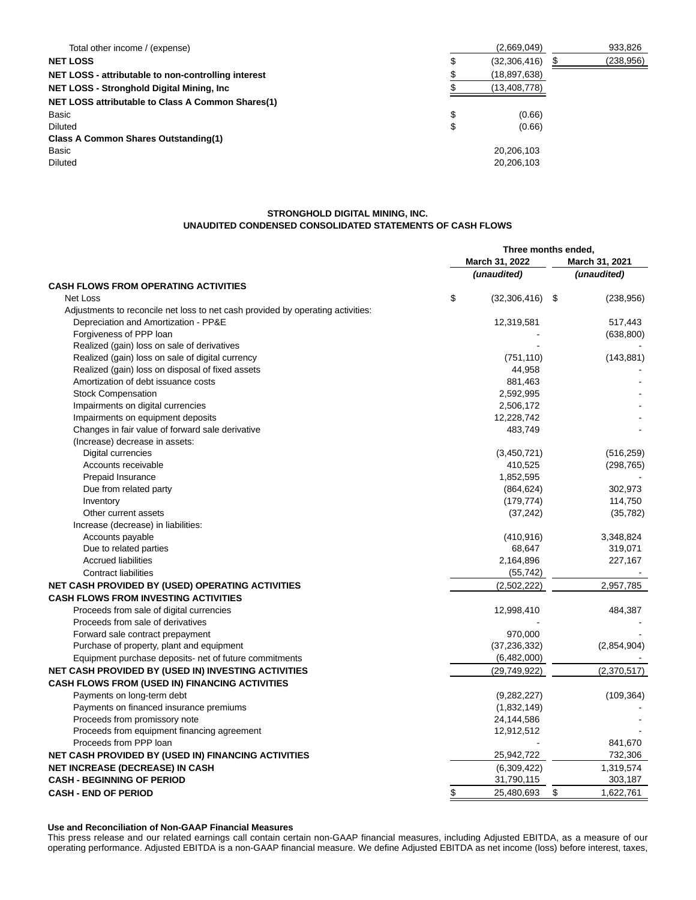| Total other income / (expense)                      | (2,669,049)        | 933,826    |
|-----------------------------------------------------|--------------------|------------|
| <b>NET LOSS</b>                                     | \$<br>(32,306,416) | (238, 956) |
| NET LOSS - attributable to non-controlling interest | (18, 897, 638)     |            |
| NET LOSS - Stronghold Digital Mining, Inc.          | (13, 408, 778)     |            |
| NET LOSS attributable to Class A Common Shares(1)   |                    |            |
| Basic                                               | \$<br>(0.66)       |            |
| <b>Diluted</b>                                      | \$<br>(0.66)       |            |
| <b>Class A Common Shares Outstanding(1)</b>         |                    |            |
| Basic                                               | 20,206,103         |            |
| <b>Diluted</b>                                      | 20,206,103         |            |

# **STRONGHOLD DIGITAL MINING, INC. UNAUDITED CONDENSED CONSOLIDATED STATEMENTS OF CASH FLOWS**

|                                                                                 | Three months ended, |                 |  |
|---------------------------------------------------------------------------------|---------------------|-----------------|--|
|                                                                                 | March 31, 2022      | March 31, 2021  |  |
|                                                                                 | (unaudited)         | (unaudited)     |  |
| <b>CASH FLOWS FROM OPERATING ACTIVITIES</b>                                     |                     |                 |  |
| \$<br>Net Loss                                                                  | $(32,306,416)$ \$   | (238, 956)      |  |
| Adjustments to reconcile net loss to net cash provided by operating activities: |                     |                 |  |
| Depreciation and Amortization - PP&E                                            | 12,319,581          | 517,443         |  |
| Forgiveness of PPP loan                                                         |                     | (638, 800)      |  |
| Realized (gain) loss on sale of derivatives                                     |                     |                 |  |
| Realized (gain) loss on sale of digital currency                                | (751, 110)          | (143, 881)      |  |
| Realized (gain) loss on disposal of fixed assets                                | 44,958              |                 |  |
| Amortization of debt issuance costs                                             | 881,463             |                 |  |
| <b>Stock Compensation</b>                                                       | 2,592,995           |                 |  |
| Impairments on digital currencies                                               | 2,506,172           |                 |  |
| Impairments on equipment deposits                                               | 12,228,742          |                 |  |
| Changes in fair value of forward sale derivative                                | 483,749             |                 |  |
| (Increase) decrease in assets:                                                  |                     |                 |  |
| Digital currencies                                                              | (3,450,721)         | (516, 259)      |  |
| Accounts receivable                                                             | 410,525             | (298, 765)      |  |
| Prepaid Insurance                                                               | 1,852,595           |                 |  |
| Due from related party                                                          | (864, 624)          | 302,973         |  |
| Inventory                                                                       | (179, 774)          | 114,750         |  |
| Other current assets                                                            | (37, 242)           | (35, 782)       |  |
| Increase (decrease) in liabilities:                                             |                     |                 |  |
| Accounts payable                                                                | (410, 916)          | 3,348,824       |  |
| Due to related parties                                                          | 68,647              | 319,071         |  |
| <b>Accrued liabilities</b>                                                      | 2,164,896           | 227,167         |  |
| <b>Contract liabilities</b>                                                     | (55, 742)           |                 |  |
| NET CASH PROVIDED BY (USED) OPERATING ACTIVITIES                                | (2,502,222)         | 2,957,785       |  |
| <b>CASH FLOWS FROM INVESTING ACTIVITIES</b>                                     |                     |                 |  |
| Proceeds from sale of digital currencies                                        | 12,998,410          | 484,387         |  |
| Proceeds from sale of derivatives                                               |                     |                 |  |
| Forward sale contract prepayment                                                | 970,000             |                 |  |
| Purchase of property, plant and equipment                                       | (37, 236, 332)      | (2,854,904)     |  |
| Equipment purchase deposits- net of future commitments                          | (6,482,000)         |                 |  |
| <b>NET CASH PROVIDED BY (USED IN) INVESTING ACTIVITIES</b>                      | (29,749,922)        | (2,370,517)     |  |
| CASH FLOWS FROM (USED IN) FINANCING ACTIVITIES                                  |                     |                 |  |
| Payments on long-term debt                                                      | (9,282,227)         | (109, 364)      |  |
| Payments on financed insurance premiums                                         | (1,832,149)         |                 |  |
| Proceeds from promissory note                                                   | 24,144,586          |                 |  |
| Proceeds from equipment financing agreement                                     | 12,912,512          |                 |  |
| Proceeds from PPP loan                                                          |                     | 841,670         |  |
| NET CASH PROVIDED BY (USED IN) FINANCING ACTIVITIES                             | 25,942,722          | 732,306         |  |
| <b>NET INCREASE (DECREASE) IN CASH</b>                                          | (6,309,422)         | 1,319,574       |  |
| <b>CASH - BEGINNING OF PERIOD</b>                                               | 31,790,115          | 303,187         |  |
| \$<br><b>CASH - END OF PERIOD</b>                                               | 25,480,693          | \$<br>1,622,761 |  |

**Use and Reconciliation of Non-GAAP Financial Measures**

This press release and our related earnings call contain certain non-GAAP financial measures, including Adjusted EBITDA, as a measure of our operating performance. Adjusted EBITDA is a non-GAAP financial measure. We define Adjusted EBITDA as net income (loss) before interest, taxes,